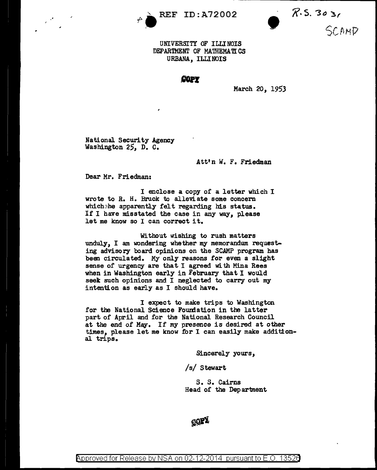

 $R \rightarrow \text{REF ID: A72002}$   $R \cdot S. 30 \rightarrow \text{UNIVERSTITV OF ILLINOIS}$ SCAMP

UNIVERSITY OF ILLINOIS DEPARTMENT OF MATHEMATICS URBANA, ILLINOIS

COPY

March 20, 1953

National Security Agency Washington 25, D. c.

Att'n *W.* F. Friedman

Dear Mr. Friedman:

<sup>I</sup>enclose a copy of a letter which <sup>I</sup> wrote to R. H. Bruck to alleviate some concern which:he apparently felt regarding his status. If I have misstated the case in any way, please let me know so I can correct it.

Without wishing to rush matters unduly, I am wondering whether my memorandum requesting advisory board opinions on the SCAMP program has been circulated. My only reasons for even a slight sense of urgency are that I agreed with Mina Rees when in Washington early in February that I would seek such opinions and I neglected to carry out my intention as early as I should have.

I expect to make trips to Washington for the National Science Foundation in the latter part of April and for the National Research Council at the end of May. If my presence is desired at other times, please let me know for I can easily make additional trips.

Sincerely yours,

/s/ Stewart

s. s. Cairns Head of the Department



Approved for Release by NSA on 02-12-2014 pursuant to E.O. 13526